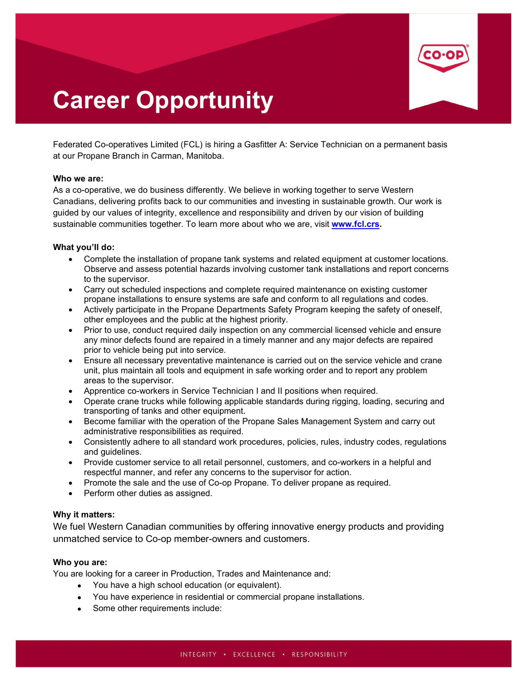

# **Career Opportunity**

Federated Co-operatives Limited (FCL) is hiring a Gasfitter A: Service Technician on a permanent basis at our Propane Branch in Carman, Manitoba.

### **Who we are:**

As a co-operative, we do business differently. We believe in working together to serve Western Canadians, delivering profits back to our communities and investing in sustainable growth. Our work is guided by our values of integrity, excellence and responsibility and driven by our vision of building sustainable communities together. To learn more about who we are, visit **[www.fcl.crs.](http://www.fcl.crs/)**

### **What you'll do:**

- Complete the installation of propane tank systems and related equipment at customer locations. Observe and assess potential hazards involving customer tank installations and report concerns to the supervisor.
- Carry out scheduled inspections and complete required maintenance on existing customer propane installations to ensure systems are safe and conform to all regulations and codes.
- Actively participate in the Propane Departments Safety Program keeping the safety of oneself, other employees and the public at the highest priority.
- Prior to use, conduct required daily inspection on any commercial licensed vehicle and ensure any minor defects found are repaired in a timely manner and any major defects are repaired prior to vehicle being put into service.
- Ensure all necessary preventative maintenance is carried out on the service vehicle and crane unit, plus maintain all tools and equipment in safe working order and to report any problem areas to the supervisor.
- Apprentice co-workers in Service Technician I and II positions when required.
- Operate crane trucks while following applicable standards during rigging, loading, securing and transporting of tanks and other equipment.
- Become familiar with the operation of the Propane Sales Management System and carry out administrative responsibilities as required.
- Consistently adhere to all standard work procedures, policies, rules, industry codes, regulations and guidelines.
- Provide customer service to all retail personnel, customers, and co-workers in a helpful and respectful manner, and refer any concerns to the supervisor for action.
- Promote the sale and the use of Co-op Propane. To deliver propane as required.
- Perform other duties as assigned.

# **Why it matters:**

We fuel Western Canadian communities by offering innovative energy products and providing unmatched service to Co-op member-owners and customers.

# **Who you are:**

You are looking for a career in Production, Trades and Maintenance and:

- You have a high school education (or equivalent).
- You have experience in residential or commercial propane installations.
- Some other requirements include: